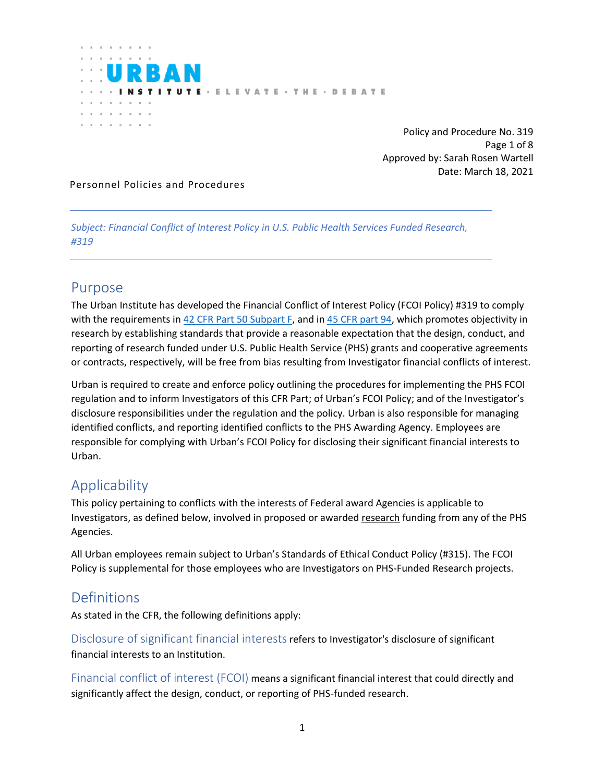

 Policy and Procedure No. 319 Page 1 of 8 Approved by: Sarah Rosen Wartell Date: March 18, 2021

#### Personnel Policies and Procedures

*Subject: Financial Conflict of Interest Policy in U.S. Public Health Services Funded Research, #319* 

### Purpose

The Urban Institute has developed the Financial Conflict of Interest Policy (FCOI Policy) #319 to comply with the requirements in [42 CFR Part 50 Subpart F,](http://www.ecfr.gov/) and in [45 CFR part 94,](https://www.ecfr.gov/cgi-bin/text-idx?SID=712cec1ac502ac0f4b0e05e14e0d6473&mc=true&node=pt45.1.94&rgn=div5) which promotes objectivity in research by establishing standards that provide a reasonable expectation that the design, conduct, and reporting of research funded under U.S. Public Health Service (PHS) grants and cooperative agreements or contracts, respectively, will be free from bias resulting from Investigator financial conflicts of interest.

Urban is required to create and enforce policy outlining the procedures for implementing the PHS FCOI regulation and to inform Investigators of this CFR Part; of Urban's FCOI Policy; and of the Investigator's disclosure responsibilities under the regulation and the policy. Urban is also responsible for managing identified conflicts, and reporting identified conflicts to the PHS Awarding Agency. Employees are responsible for complying with Urban's FCOI Policy for disclosing their significant financial interests to Urban.

## Applicability

This policy pertaining to conflicts with the interests of Federal award Agencies is applicable to Investigators, as defined below, involved in proposed or awarded research funding from any of the PHS Agencies.

All Urban employees remain subject to Urban's Standards of Ethical Conduct Policy (#315). The FCOI Policy is supplemental for those employees who are Investigators on PHS-Funded Research projects.

### **Definitions**

As stated in the CFR, the following definitions apply:

Disclosure of significant financial interests refers to Investigator's disclosure of significant financial interests to an Institution.

Financial conflict of interest (FCOI) means a significant financial interest that could directly and significantly affect the design, conduct, or reporting of PHS-funded research.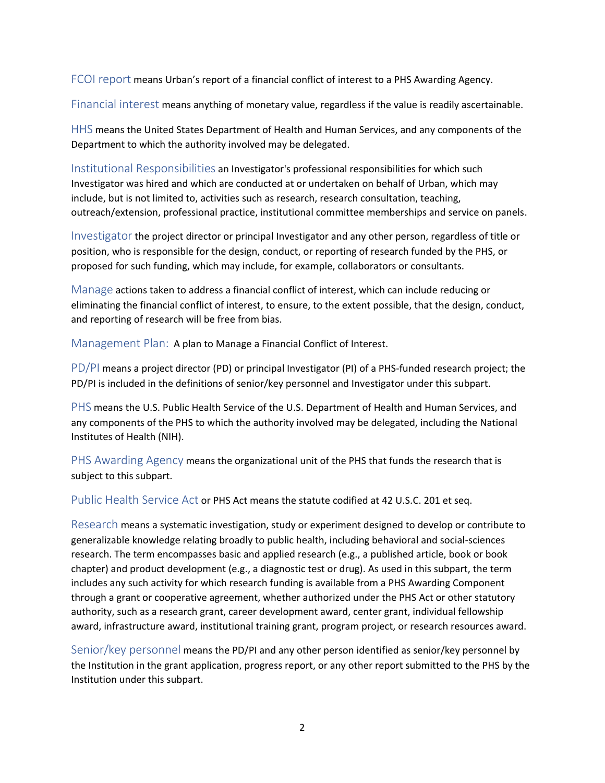FCOI report means Urban's report of a financial conflict of interest to a PHS Awarding Agency.

Financial interest means anything of monetary value, regardless if the value is readily ascertainable.

HHS means the United States Department of Health and Human Services, and any components of the Department to which the authority involved may be delegated.

Institutional Responsibilities an Investigator's professional responsibilities for which such Investigator was hired and which are conducted at or undertaken on behalf of Urban, which may include, but is not limited to, activities such as research, research consultation, teaching, outreach/extension, professional practice, institutional committee memberships and service on panels.

Investigator the project director or principal Investigator and any other person, regardless of title or position, who is responsible for the design, conduct, or reporting of research funded by the PHS, or proposed for such funding, which may include, for example, collaborators or consultants.

Manage actions taken to address a financial conflict of interest, which can include reducing or eliminating the financial conflict of interest, to ensure, to the extent possible, that the design, conduct, and reporting of research will be free from bias.

Management Plan: A plan to Manage a Financial Conflict of Interest.

PD/PI means a project director (PD) or principal Investigator (PI) of a PHS-funded research project; the PD/PI is included in the definitions of senior/key personnel and Investigator under this subpart.

PHS means the U.S. Public Health Service of the U.S. Department of Health and Human Services, and any components of the PHS to which the authority involved may be delegated, including the National Institutes of Health (NIH).

PHS Awarding Agency means the organizational unit of the PHS that funds the research that is subject to this subpart.

Public Health Service Act or PHS Act means the statute codified at 42 U.S.C. 201 et seq.

Research means a systematic investigation, study or experiment designed to develop or contribute to generalizable knowledge relating broadly to public health, including behavioral and social-sciences research. The term encompasses basic and applied research (e.g., a published article, book or book chapter) and product development (e.g., a diagnostic test or drug). As used in this subpart, the term includes any such activity for which research funding is available from a PHS Awarding Component through a grant or cooperative agreement, whether authorized under the PHS Act or other statutory authority, such as a research grant, career development award, center grant, individual fellowship award, infrastructure award, institutional training grant, program project, or research resources award.

Senior/key personnel means the PD/PI and any other person identified as senior/key personnel by the Institution in the grant application, progress report, or any other report submitted to the PHS by the Institution under this subpart.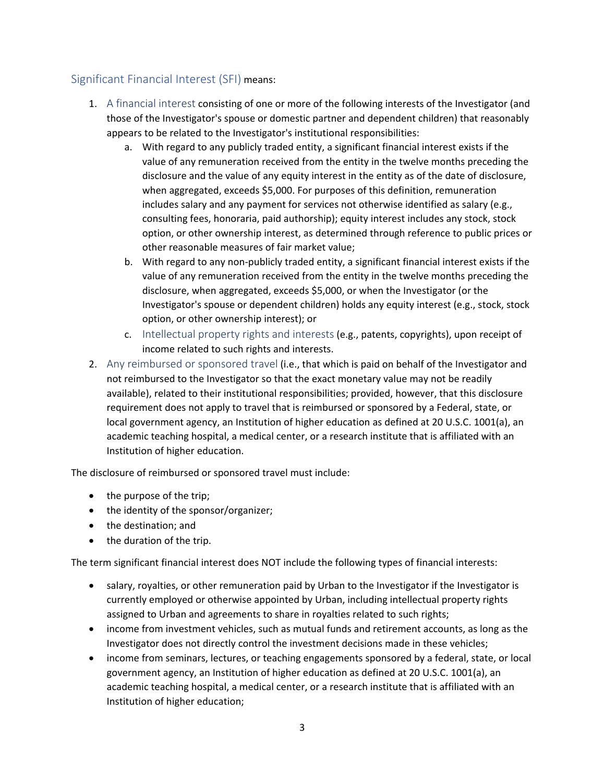#### Significant Financial Interest (SFI) means:

- 1. A financial interest consisting of one or more of the following interests of the Investigator (and those of the Investigator's spouse or domestic partner and dependent children) that reasonably appears to be related to the Investigator's institutional responsibilities:
	- a. With regard to any publicly traded entity, a significant financial interest exists if the value of any remuneration received from the entity in the twelve months preceding the disclosure and the value of any equity interest in the entity as of the date of disclosure, when aggregated, exceeds \$5,000. For purposes of this definition, remuneration includes salary and any payment for services not otherwise identified as salary (e.g., consulting fees, honoraria, paid authorship); equity interest includes any stock, stock option, or other ownership interest, as determined through reference to public prices or other reasonable measures of fair market value;
	- b. With regard to any non-publicly traded entity, a significant financial interest exists if the value of any remuneration received from the entity in the twelve months preceding the disclosure, when aggregated, exceeds \$5,000, or when the Investigator (or the Investigator's spouse or dependent children) holds any equity interest (e.g., stock, stock option, or other ownership interest); or
	- c. Intellectual property rights and interests (e.g., patents, copyrights), upon receipt of income related to such rights and interests.
- 2. Any reimbursed or sponsored travel (i.e., that which is paid on behalf of the Investigator and not reimbursed to the Investigator so that the exact monetary value may not be readily available), related to their institutional responsibilities; provided, however, that this disclosure requirement does not apply to travel that is reimbursed or sponsored by a Federal, state, or local government agency, an Institution of higher education as defined at 20 U.S.C. 1001(a), an academic teaching hospital, a medical center, or a research institute that is affiliated with an Institution of higher education.

The disclosure of reimbursed or sponsored travel must include:

- the purpose of the trip;
- the identity of the sponsor/organizer;
- the destination; and
- the duration of the trip.

The term significant financial interest does NOT include the following types of financial interests:

- salary, royalties, or other remuneration paid by Urban to the Investigator if the Investigator is currently employed or otherwise appointed by Urban, including intellectual property rights assigned to Urban and agreements to share in royalties related to such rights;
- income from investment vehicles, such as mutual funds and retirement accounts, as long as the Investigator does not directly control the investment decisions made in these vehicles;
- income from seminars, lectures, or teaching engagements sponsored by a federal, state, or local government agency, an Institution of higher education as defined at 20 U.S.C. 1001(a), an academic teaching hospital, a medical center, or a research institute that is affiliated with an Institution of higher education;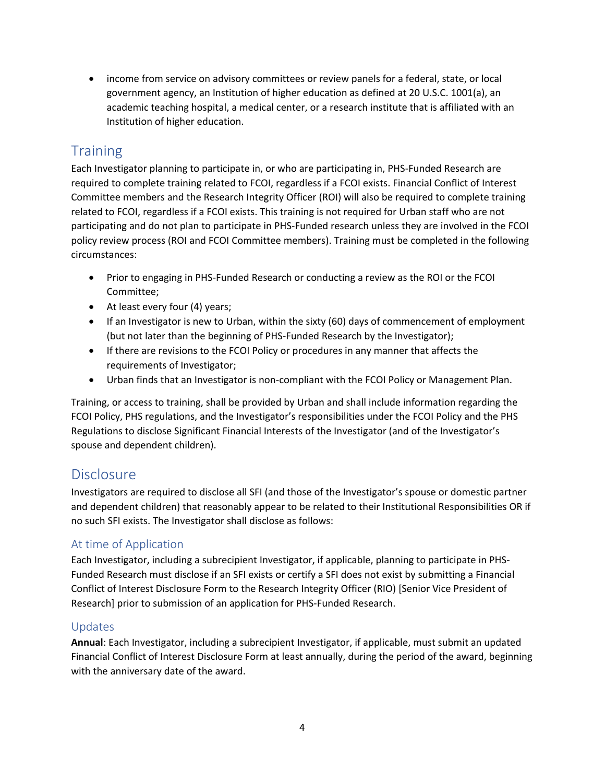• income from service on advisory committees or review panels for a federal, state, or local government agency, an Institution of higher education as defined at 20 U.S.C. 1001(a), an academic teaching hospital, a medical center, or a research institute that is affiliated with an Institution of higher education.

# **Training**

Each Investigator planning to participate in, or who are participating in, PHS-Funded Research are required to complete training related to FCOI, regardless if a FCOI exists. Financial Conflict of Interest Committee members and the Research Integrity Officer (ROI) will also be required to complete training related to FCOI, regardless if a FCOI exists. This training is not required for Urban staff who are not participating and do not plan to participate in PHS-Funded research unless they are involved in the FCOI policy review process (ROI and FCOI Committee members). Training must be completed in the following circumstances:

- Prior to engaging in PHS-Funded Research or conducting a review as the ROI or the FCOI Committee;
- At least every four (4) years;
- If an Investigator is new to Urban, within the sixty (60) days of commencement of employment (but not later than the beginning of PHS-Funded Research by the Investigator);
- If there are revisions to the FCOI Policy or procedures in any manner that affects the requirements of Investigator;
- Urban finds that an Investigator is non-compliant with the FCOI Policy or Management Plan.

Training, or access to training, shall be provided by Urban and shall include information regarding the FCOI Policy, PHS regulations, and the Investigator's responsibilities under the FCOI Policy and the PHS Regulations to disclose Significant Financial Interests of the Investigator (and of the Investigator's spouse and dependent children).

### **Disclosure**

Investigators are required to disclose all SFI (and those of the Investigator's spouse or domestic partner and dependent children) that reasonably appear to be related to their Institutional Responsibilities OR if no such SFI exists. The Investigator shall disclose as follows:

### At time of Application

Each Investigator, including a subrecipient Investigator, if applicable, planning to participate in PHS-Funded Research must disclose if an SFI exists or certify a SFI does not exist by submitting a Financial Conflict of Interest Disclosure Form to the Research Integrity Officer (RIO) [Senior Vice President of Research] prior to submission of an application for PHS-Funded Research.

#### Updates

**Annual**: Each Investigator, including a subrecipient Investigator, if applicable, must submit an updated Financial Conflict of Interest Disclosure Form at least annually, during the period of the award, beginning with the anniversary date of the award.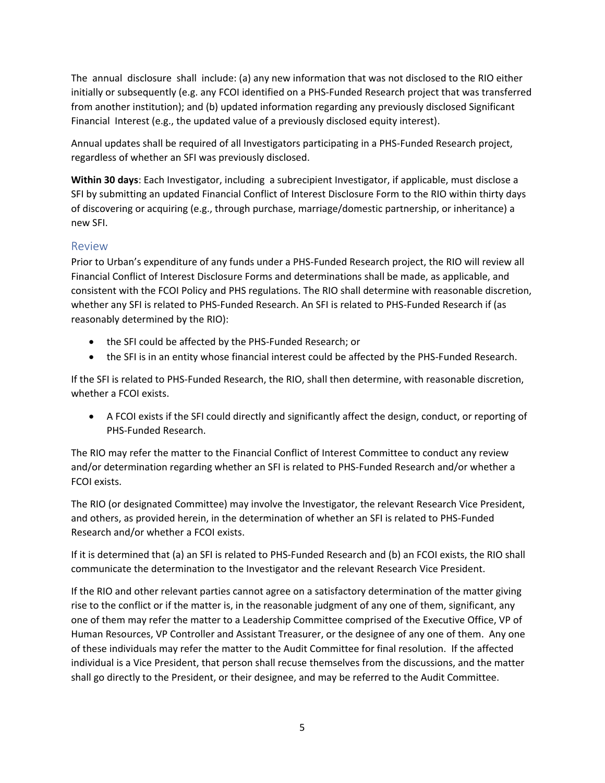The annual disclosure shall include: (a) any new information that was not disclosed to the RIO either initially or subsequently (e.g. any FCOI identified on a PHS-Funded Research project that was transferred from another institution); and (b) updated information regarding any previously disclosed Significant Financial Interest (e.g., the updated value of a previously disclosed equity interest).

Annual updates shall be required of all Investigators participating in a PHS-Funded Research project, regardless of whether an SFI was previously disclosed.

**Within 30 days**: Each Investigator, including a subrecipient Investigator, if applicable, must disclose a SFI by submitting an updated Financial Conflict of Interest Disclosure Form to the RIO within thirty days of discovering or acquiring (e.g., through purchase, marriage/domestic partnership, or inheritance) a new SFI.

#### Review

Prior to Urban's expenditure of any funds under a PHS-Funded Research project, the RIO will review all Financial Conflict of Interest Disclosure Forms and determinations shall be made, as applicable, and consistent with the FCOI Policy and PHS regulations. The RIO shall determine with reasonable discretion, whether any SFI is related to PHS-Funded Research. An SFI is related to PHS-Funded Research if (as reasonably determined by the RIO):

- the SFI could be affected by the PHS-Funded Research; or
- the SFI is in an entity whose financial interest could be affected by the PHS-Funded Research.

If the SFI is related to PHS-Funded Research, the RIO, shall then determine, with reasonable discretion, whether a FCOI exists.

• A FCOI exists if the SFI could directly and significantly affect the design, conduct, or reporting of PHS-Funded Research.

The RIO may refer the matter to the Financial Conflict of Interest Committee to conduct any review and/or determination regarding whether an SFI is related to PHS-Funded Research and/or whether a FCOI exists.

The RIO (or designated Committee) may involve the Investigator, the relevant Research Vice President, and others, as provided herein, in the determination of whether an SFI is related to PHS-Funded Research and/or whether a FCOI exists.

If it is determined that (a) an SFI is related to PHS-Funded Research and (b) an FCOI exists, the RIO shall communicate the determination to the Investigator and the relevant Research Vice President.

If the RIO and other relevant parties cannot agree on a satisfactory determination of the matter giving rise to the conflict or if the matter is, in the reasonable judgment of any one of them, significant, any one of them may refer the matter to a Leadership Committee comprised of the Executive Office, VP of Human Resources, VP Controller and Assistant Treasurer, or the designee of any one of them. Any one of these individuals may refer the matter to the Audit Committee for final resolution. If the affected individual is a Vice President, that person shall recuse themselves from the discussions, and the matter shall go directly to the President, or their designee, and may be referred to the Audit Committee.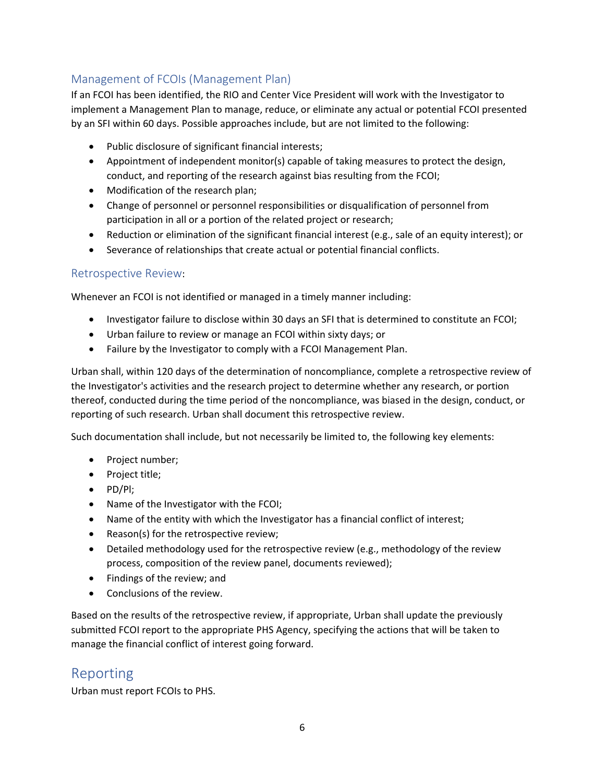### Management of FCOIs (Management Plan)

If an FCOI has been identified, the RIO and Center Vice President will work with the Investigator to implement a Management Plan to manage, reduce, or eliminate any actual or potential FCOI presented by an SFI within 60 days. Possible approaches include, but are not limited to the following:

- Public disclosure of significant financial interests;
- Appointment of independent monitor(s) capable of taking measures to protect the design, conduct, and reporting of the research against bias resulting from the FCOI;
- Modification of the research plan;
- Change of personnel or personnel responsibilities or disqualification of personnel from participation in all or a portion of the related project or research;
- Reduction or elimination of the significant financial interest (e.g., sale of an equity interest); or
- Severance of relationships that create actual or potential financial conflicts.

#### Retrospective Review:

Whenever an FCOI is not identified or managed in a timely manner including:

- Investigator failure to disclose within 30 days an SFI that is determined to constitute an FCOI;
- Urban failure to review or manage an FCOI within sixty days; or
- Failure by the Investigator to comply with a FCOI Management Plan.

Urban shall, within 120 days of the determination of noncompliance, complete a retrospective review of the Investigator's activities and the research project to determine whether any research, or portion thereof, conducted during the time period of the noncompliance, was biased in the design, conduct, or reporting of such research. Urban shall document this retrospective review.

Such documentation shall include, but not necessarily be limited to, the following key elements:

- Project number;
- Project title;
- PD/Pl;
- Name of the Investigator with the FCOI;
- Name of the entity with which the Investigator has a financial conflict of interest;
- Reason(s) for the retrospective review;
- Detailed methodology used for the retrospective review (e.g., methodology of the review process, composition of the review panel, documents reviewed);
- Findings of the review; and
- Conclusions of the review.

Based on the results of the retrospective review, if appropriate, Urban shall update the previously submitted FCOI report to the appropriate PHS Agency, specifying the actions that will be taken to manage the financial conflict of interest going forward.

### Reporting

Urban must report FCOIs to PHS.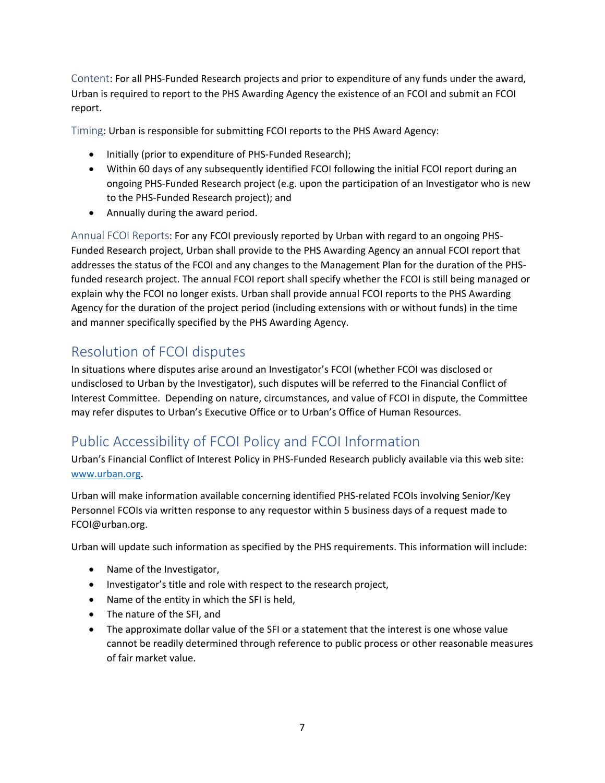Content: For all PHS-Funded Research projects and prior to expenditure of any funds under the award, Urban is required to report to the PHS Awarding Agency the existence of an FCOI and submit an FCOI report.

Timing: Urban is responsible for submitting FCOI reports to the PHS Award Agency:

- Initially (prior to expenditure of PHS-Funded Research);
- Within 60 days of any subsequently identified FCOI following the initial FCOI report during an ongoing PHS-Funded Research project (e.g. upon the participation of an Investigator who is new to the PHS-Funded Research project); and
- Annually during the award period.

Annual FCOI Reports: For any FCOI previously reported by Urban with regard to an ongoing PHS-Funded Research project, Urban shall provide to the PHS Awarding Agency an annual FCOI report that addresses the status of the FCOI and any changes to the Management Plan for the duration of the PHSfunded research project. The annual FCOI report shall specify whether the FCOI is still being managed or explain why the FCOI no longer exists. Urban shall provide annual FCOI reports to the PHS Awarding Agency for the duration of the project period (including extensions with or without funds) in the time and manner specifically specified by the PHS Awarding Agency.

# Resolution of FCOI disputes

In situations where disputes arise around an Investigator's FCOI (whether FCOI was disclosed or undisclosed to Urban by the Investigator), such disputes will be referred to the Financial Conflict of Interest Committee. Depending on nature, circumstances, and value of FCOI in dispute, the Committee may refer disputes to Urban's Executive Office or to Urban's Office of Human Resources.

# Public Accessibility of FCOI Policy and FCOI Information

Urban's Financial Conflict of Interest Policy in PHS-Funded Research publicly available via this web site: [www.urban.org.](http://www.urban.org/)

Urban will make information available concerning identified PHS-related FCOIs involving Senior/Key Personnel FCOIs via written response to any requestor within 5 business days of a request made to FCOI@urban.org.

Urban will update such information as specified by the PHS requirements. This information will include:

- Name of the Investigator,
- Investigator's title and role with respect to the research project,
- Name of the entity in which the SFI is held,
- The nature of the SFI, and
- The approximate dollar value of the SFI or a statement that the interest is one whose value cannot be readily determined through reference to public process or other reasonable measures of fair market value.